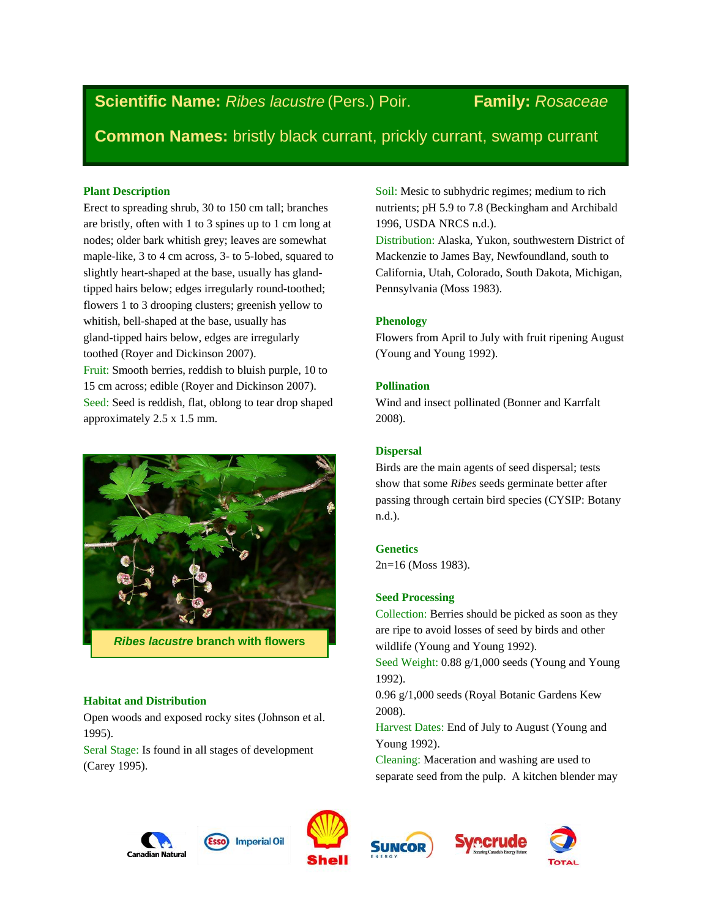**Scientific Name:** *Ribes lacustre* (Pers.) Poir. **Family:** *Rosaceae*

**Common Names:** bristly black currant, prickly currant, swamp currant

## **Plant Description**

Erect to spreading shrub, 30 to 150 cm tall; branches are bristly, often with 1 to 3 spines up to 1 cm long at nodes; older bark whitish grey; leaves are somewhat maple-like, 3 to 4 cm across, 3- to 5-lobed, squared to slightly heart-shaped at the base, usually has glandtipped hairs below; edges irregularly round-toothed; flowers 1 to 3 drooping clusters; greenish yellow to whitish, bell-shaped at the base, usually has gland-tipped hairs below, edges are irregularly toothed (Royer and Dickinson 2007). Fruit: Smooth berries, reddish to bluish purple, 10 to 15 cm across; edible (Royer and Dickinson 2007).

Seed: Seed is reddish, flat, oblong to tear drop shaped approximately 2.5 x 1.5 mm.



*Ribes lacustre* **branch with flowers**

# **Habitat and Distribution**

Open woods and exposed rocky sites (Johnson et al. 1995).

Seral Stage: Is found in all stages of development (Carey 1995).

Soil: Mesic to subhydric regimes; medium to rich nutrients; pH 5.9 to 7.8 (Beckingham and Archibald 1996, USDA NRCS n.d.).

Distribution: Alaska, Yukon, southwestern District of Mackenzie to James Bay, Newfoundland, south to California, Utah, Colorado, South Dakota, Michigan, Pennsylvania (Moss 1983).

# **Phenology**

Flowers from April to July with fruit ripening August (Young and Young 1992).

# **Pollination**

Wind and insect pollinated (Bonner and Karrfalt 2008).

# **Dispersal**

Birds are the main agents of seed dispersal; tests show that some *Ribes* seeds germinate better after passing through certain bird species (CYSIP: Botany n.d.).

# **Genetics**

2n=16 (Moss 1983).

# **Seed Processing**

Collection: Berries should be picked as soon as they are ripe to avoid losses of seed by birds and other wildlife (Young and Young 1992).

Seed Weight: 0.88 g/1,000 seeds (Young and Young 1992).

0.96 g/1,000 seeds (Royal Botanic Gardens Kew 2008).

Harvest Dates: End of July to August (Young and Young 1992).

Cleaning: Maceration and washing are used to separate seed from the pulp. A kitchen blender may







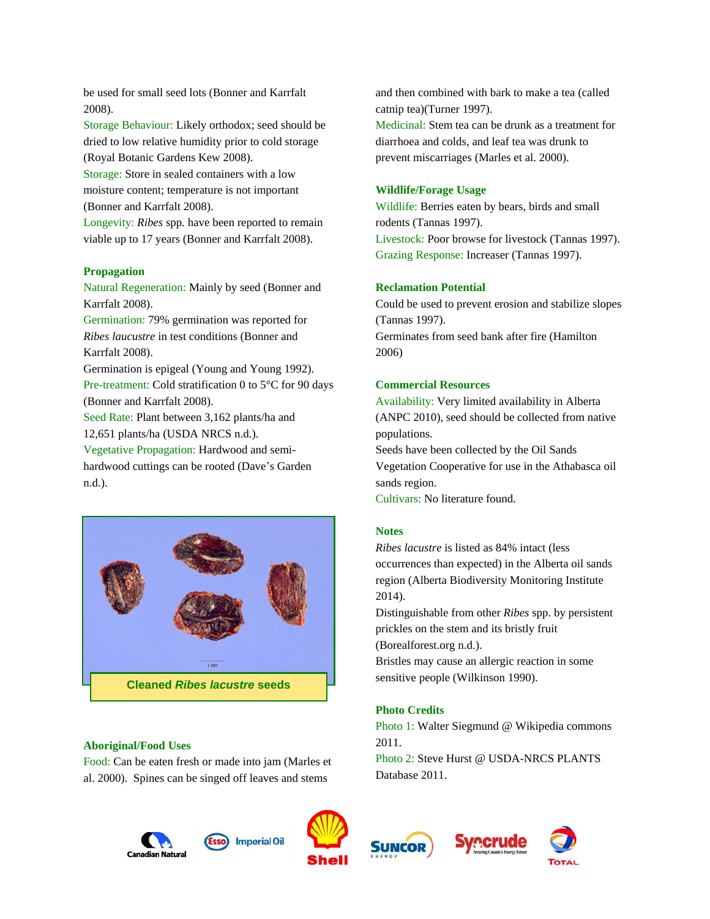be used for small seed lots (Bonner and Karrfalt 2008).

Storage Behaviour: Likely orthodox; seed should be dried to low relative humidity prior to cold storage (Royal Botanic Gardens Kew 2008).

Storage: Store in sealed containers with a low moisture content; temperature is not important (Bonner and Karrfalt 2008).

Longevity: *Ribes* spp*.* have been reported to remain viable up to 17 years (Bonner and Karrfalt 2008).

### **Propagation**

Natural Regeneration: Mainly by seed (Bonner and Karrfalt 2008).

Germination: 79% germination was reported for *Ribes laucustre* in test conditions (Bonner and Karrfalt 2008).

Germination is epigeal (Young and Young 1992). Pre-treatment: Cold stratification 0 to 5°C for 90 days (Bonner and Karrfalt 2008).

Seed Rate: Plant between 3,162 plants/ha and 12,651 plants/ha (USDA NRCS n.d.).

Vegetative Propagation: Hardwood and semihardwood cuttings can be rooted (Dave's Garden n.d.).



## **Aboriginal/Food Uses**

Food: Can be eaten fresh or made into jam (Marles et al. 2000). Spines can be singed off leaves and stems

and then combined with bark to make a tea (called catnip tea)(Turner 1997). Medicinal: Stem tea can be drunk as a treatment for diarrhoea and colds, and leaf tea was drunk to prevent miscarriages (Marles et al. 2000).

## **Wildlife/Forage Usage**

Wildlife: Berries eaten by bears, birds and small rodents (Tannas 1997). Livestock: Poor browse for livestock (Tannas 1997). Grazing Response: Increaser (Tannas 1997).

#### **Reclamation Potential**

Could be used to prevent erosion and stabilize slopes (Tannas 1997). Germinates from seed bank after fire (Hamilton 2006)

### **Commercial Resources**

Availability: Very limited availability in Alberta (ANPC 2010), seed should be collected from native populations.

Seeds have been collected by the Oil Sands Vegetation Cooperative for use in the Athabasca oil sands region.

Cultivars: No literature found.

#### **Notes**

*Ribes lacustre* is listed as 84% intact (less occurrences than expected) in the Alberta oil sands region (Alberta Biodiversity Monitoring Institute 2014).

Distinguishable from other *Ribes* spp. by persistent prickles on the stem and its bristly fruit

(Borealforest.org n.d.).

Bristles may cause an allergic reaction in some sensitive people (Wilkinson 1990).

### **Photo Credits**

Photo 1: Walter Siegmund @ Wikipedia commons 2011.

Photo 2: Steve Hurst @ USDA-NRCS PLANTS Database 2011.







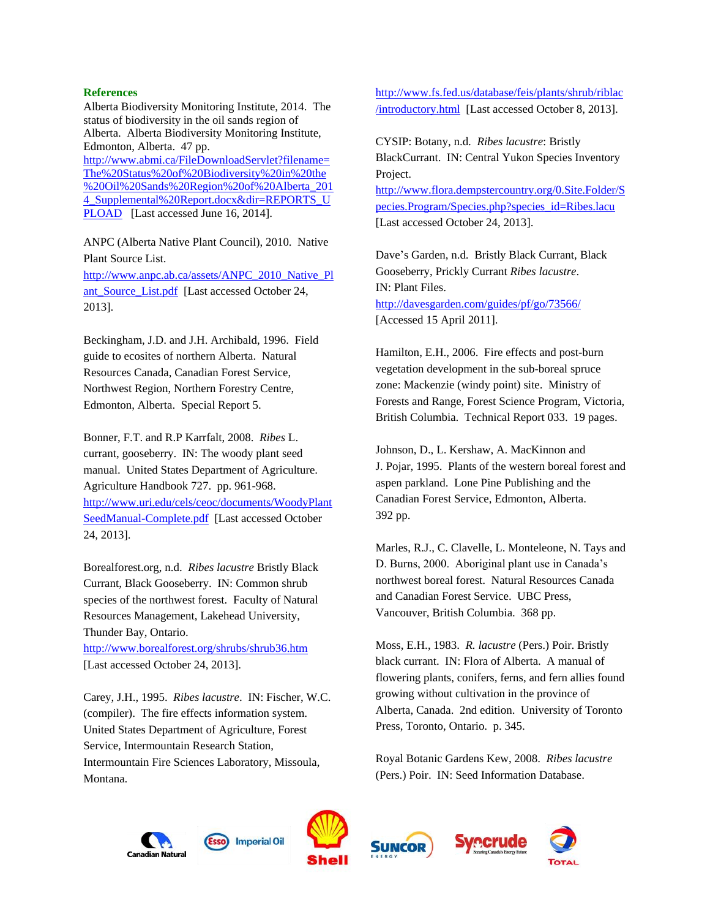### **References**

Alberta Biodiversity Monitoring Institute, 2014. The status of biodiversity in the oil sands region of Alberta. Alberta Biodiversity Monitoring Institute, Edmonton, Alberta. 47 pp. [http://www.abmi.ca/FileDownloadServlet?filename=](http://www.abmi.ca/FileDownloadServlet?filename=The%20Status%20of%20Biodiversity%20in%20the%20Oil%20Sands%20Region%20of%20Alberta_2014_Supplemental%20Report.docx&dir=REPORTS_UPLOAD) [The%20Status%20of%20Biodiversity%20in%20the](http://www.abmi.ca/FileDownloadServlet?filename=The%20Status%20of%20Biodiversity%20in%20the%20Oil%20Sands%20Region%20of%20Alberta_2014_Supplemental%20Report.docx&dir=REPORTS_UPLOAD) [%20Oil%20Sands%20Region%20of%20Alberta\\_201](http://www.abmi.ca/FileDownloadServlet?filename=The%20Status%20of%20Biodiversity%20in%20the%20Oil%20Sands%20Region%20of%20Alberta_2014_Supplemental%20Report.docx&dir=REPORTS_UPLOAD) [4\\_Supplemental%20Report.docx&dir=REPORTS\\_U](http://www.abmi.ca/FileDownloadServlet?filename=The%20Status%20of%20Biodiversity%20in%20the%20Oil%20Sands%20Region%20of%20Alberta_2014_Supplemental%20Report.docx&dir=REPORTS_UPLOAD) [PLOAD](http://www.abmi.ca/FileDownloadServlet?filename=The%20Status%20of%20Biodiversity%20in%20the%20Oil%20Sands%20Region%20of%20Alberta_2014_Supplemental%20Report.docx&dir=REPORTS_UPLOAD) [Last accessed June 16, 2014].

ANPC (Alberta Native Plant Council), 2010. Native Plant Source List. [http://www.anpc.ab.ca/assets/ANPC\\_2010\\_Native\\_Pl](http://www.anpc.ab.ca/assets/ANPC_2010_Native_Plant_Source_List.pdf) ant Source List.pdf [Last accessed October 24, 2013].

Beckingham, J.D. and J.H. Archibald, 1996. Field guide to ecosites of northern Alberta. Natural Resources Canada, Canadian Forest Service, Northwest Region, Northern Forestry Centre, Edmonton, Alberta. Special Report 5.

Bonner, F.T. and R.P Karrfalt, 2008. *Ribes* L. currant, gooseberry. IN: The woody plant seed manual. United States Department of Agriculture. Agriculture Handbook 727. pp. 961-968. [http://www.uri.edu/cels/ceoc/documents/WoodyPlant](http://www.uri.edu/cels/ceoc/documents/WoodyPlantSeedManual-Complete.pdf) [SeedManual-Complete.pdf](http://www.uri.edu/cels/ceoc/documents/WoodyPlantSeedManual-Complete.pdf) [Last accessed October 24, 2013].

Borealforest.org, n.d. *Ribes lacustre* Bristly Black Currant, Black Gooseberry. IN: Common shrub species of the northwest forest. Faculty of Natural Resources Management, Lakehead University, Thunder Bay, Ontario.

<http://www.borealforest.org/shrubs/shrub36.htm> [Last accessed October 24, 2013].

Carey, J.H., 1995. *Ribes lacustre*. IN: Fischer, W.C. (compiler). The fire effects information system. United States Department of Agriculture, Forest Service, Intermountain Research Station, Intermountain Fire Sciences Laboratory, Missoula, Montana.

[http://www.fs.fed.us/database/feis/plants/shrub/riblac](http://www.fs.fed.us/database/feis/plants/shrub/riblac/introductory.html) [/introductory.html](http://www.fs.fed.us/database/feis/plants/shrub/riblac/introductory.html) [Last accessed October 8, 2013].

CYSIP: Botany, n.d. *Ribes lacustre*: Bristly BlackCurrant. IN: Central Yukon Species Inventory Project.

[http://www.flora.dempstercountry.org/0.Site.Folder/S](http://www.flora.dempstercountry.org/0.Site.Folder/Species.Program/Species.php?species_id=Ribes.lacu) [pecies.Program/Species.php?species\\_id=Ribes.lacu](http://www.flora.dempstercountry.org/0.Site.Folder/Species.Program/Species.php?species_id=Ribes.lacu) [Last accessed October 24, 2013].

Dave's Garden, n.d. Bristly Black Currant, Black Gooseberry, Prickly Currant *Ribes lacustre*. IN: Plant Files. <http://davesgarden.com/guides/pf/go/73566/> [Accessed 15 April 2011].

Hamilton, E.H., 2006. Fire effects and post-burn vegetation development in the sub-boreal spruce zone: Mackenzie (windy point) site. Ministry of Forests and Range, Forest Science Program, Victoria, British Columbia. Technical Report 033. 19 pages.

Johnson, D., L. Kershaw, A. MacKinnon and J. Pojar, 1995. Plants of the western boreal forest and aspen parkland. Lone Pine Publishing and the Canadian Forest Service, Edmonton, Alberta. 392 pp.

Marles, R.J., C. Clavelle, L. Monteleone, N. Tays and D. Burns, 2000. Aboriginal plant use in Canada's northwest boreal forest. Natural Resources Canada and Canadian Forest Service. UBC Press, Vancouver, British Columbia. 368 pp.

Moss, E.H., 1983. *R. lacustre* (Pers.) Poir. Bristly black currant. IN: Flora of Alberta. A manual of flowering plants, conifers, ferns, and fern allies found growing without cultivation in the province of Alberta, Canada. 2nd edition. University of Toronto Press, Toronto, Ontario. p. 345.

Royal Botanic Gardens Kew, 2008. *Ribes lacustre* (Pers.) Poir. IN: Seed Information Database.